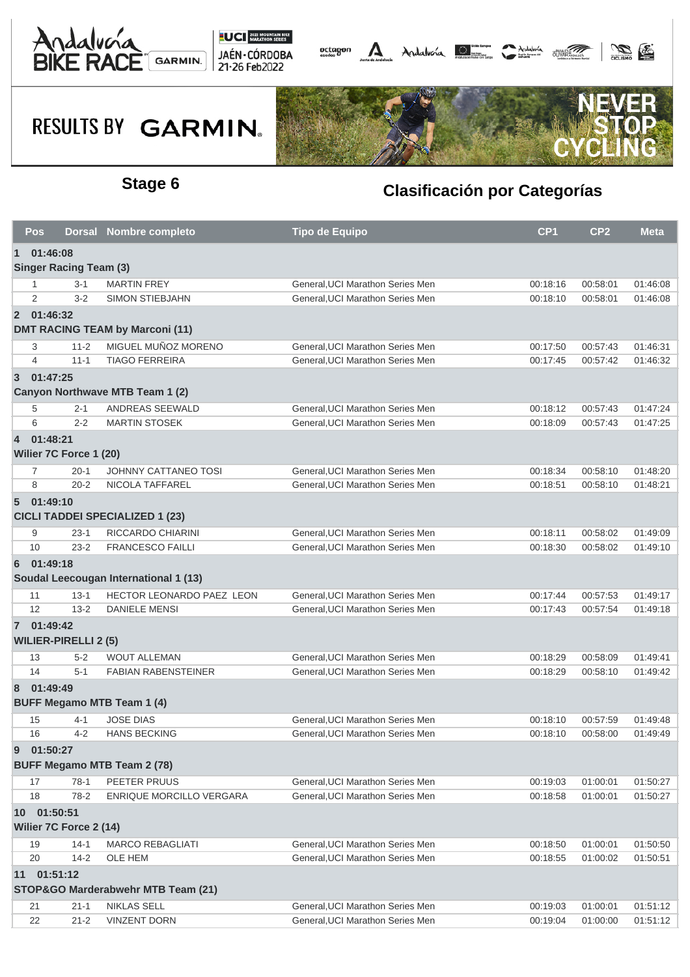





| <b>Pos</b>     |                               | Dorsal Nombre completo                 | <b>Tipo de Equipo</b>            | CP <sub>1</sub> | CP <sub>2</sub> | <b>Meta</b> |  |  |  |
|----------------|-------------------------------|----------------------------------------|----------------------------------|-----------------|-----------------|-------------|--|--|--|
| $\mathbf 1$    | 01:46:08                      |                                        |                                  |                 |                 |             |  |  |  |
|                | <b>Singer Racing Team (3)</b> |                                        |                                  |                 |                 |             |  |  |  |
| -1             | $3 - 1$                       | <b>MARTIN FREY</b>                     | General, UCI Marathon Series Men | 00:18:16        | 00:58:01        | 01:46:08    |  |  |  |
| 2              | $3 - 2$                       | <b>SIMON STIEBJAHN</b>                 | General, UCI Marathon Series Men | 00:18:10        | 00:58:01        | 01:46:08    |  |  |  |
|                | 2 01:46:32                    |                                        |                                  |                 |                 |             |  |  |  |
|                |                               | <b>DMT RACING TEAM by Marconi (11)</b> |                                  |                 |                 |             |  |  |  |
| 3              | $11 - 2$                      | MIGUEL MUÑOZ MORENO                    | General, UCI Marathon Series Men | 00:17:50        | 00:57:43        | 01:46:31    |  |  |  |
| $\overline{4}$ | $11 - 1$                      | <b>TIAGO FERREIRA</b>                  | General, UCI Marathon Series Men | 00:17:45        | 00:57:42        | 01:46:32    |  |  |  |
| $\overline{3}$ | 01:47:25                      |                                        |                                  |                 |                 |             |  |  |  |
|                |                               | Canyon Northwave MTB Team 1 (2)        |                                  |                 |                 |             |  |  |  |
| 5              | $2 - 1$                       | ANDREAS SEEWALD                        | General, UCI Marathon Series Men | 00:18:12        | 00:57:43        | 01:47:24    |  |  |  |
| 6              | $2 - 2$                       | <b>MARTIN STOSEK</b>                   | General, UCI Marathon Series Men | 00:18:09        | 00:57:43        | 01:47:25    |  |  |  |
| $\overline{4}$ | 01:48:21                      |                                        |                                  |                 |                 |             |  |  |  |
|                | Wilier 7C Force 1 (20)        |                                        |                                  |                 |                 |             |  |  |  |
| 7              | $20 - 1$                      | JOHNNY CATTANEO TOSI                   | General, UCI Marathon Series Men | 00:18:34        | 00:58:10        | 01:48:20    |  |  |  |
| 8              | $20 - 2$                      | <b>NICOLA TAFFAREL</b>                 | General, UCI Marathon Series Men | 00:18:51        | 00:58:10        | 01:48:21    |  |  |  |
| $5^{\circ}$    | 01:49:10                      |                                        |                                  |                 |                 |             |  |  |  |
|                |                               | <b>CICLI TADDEI SPECIALIZED 1 (23)</b> |                                  |                 |                 |             |  |  |  |
| 9              | $23-1$                        | RICCARDO CHIARINI                      | General, UCI Marathon Series Men | 00:18:11        | 00:58:02        | 01:49:09    |  |  |  |
| 10             | $23 - 2$                      | <b>FRANCESCO FAILLI</b>                | General, UCI Marathon Series Men | 00:18:30        | 00:58:02        | 01:49:10    |  |  |  |
| 6              | 01:49:18                      |                                        |                                  |                 |                 |             |  |  |  |
|                |                               | Soudal Leecougan International 1 (13)  |                                  |                 |                 |             |  |  |  |
| 11             | $13 - 1$                      | HECTOR LEONARDO PAEZ LEON              | General, UCI Marathon Series Men | 00:17:44        | 00:57:53        | 01:49:17    |  |  |  |
| 12             | $13 - 2$                      | <b>DANIELE MENSI</b>                   | General, UCI Marathon Series Men | 00:17:43        | 00:57:54        | 01:49:18    |  |  |  |
|                | 7 01:49:42                    |                                        |                                  |                 |                 |             |  |  |  |
|                | <b>WILIER-PIRELLI 2 (5)</b>   |                                        |                                  |                 |                 |             |  |  |  |
| 13             | $5 - 2$                       | <b>WOUT ALLEMAN</b>                    | General, UCI Marathon Series Men | 00:18:29        | 00:58:09        | 01:49:41    |  |  |  |
| 14             | $5 - 1$                       | <b>FABIAN RABENSTEINER</b>             | General.UCI Marathon Series Men  | 00:18:29        | 00:58:10        | 01:49:42    |  |  |  |
| 8              | 01:49:49                      |                                        |                                  |                 |                 |             |  |  |  |
|                |                               | <b>BUFF Megamo MTB Team 1 (4)</b>      |                                  |                 |                 |             |  |  |  |
| 15             | 4-1                           | <b>JOSE DIAS</b>                       | General, UCI Marathon Series Men | 00:18:10        | 00:57:59        | 01:49:48    |  |  |  |
| 16             | $4 - 2$                       | <b>HANS BECKING</b>                    | General, UCI Marathon Series Men | 00:18:10        | 00:58:00        | 01:49:49    |  |  |  |
| 9              | 01:50:27                      |                                        |                                  |                 |                 |             |  |  |  |
|                |                               | <b>BUFF Megamo MTB Team 2 (78)</b>     |                                  |                 |                 |             |  |  |  |
| 17             | $78-1$                        | PEETER PRUUS                           | General, UCI Marathon Series Men | 00:19:03        | 01:00:01        | 01:50:27    |  |  |  |
| 18             | $78-2$                        | ENRIQUE MORCILLO VERGARA               | General, UCI Marathon Series Men | 00:18:58        | 01:00:01        | 01:50:27    |  |  |  |
|                | 10 01:50:51                   |                                        |                                  |                 |                 |             |  |  |  |
|                | Wilier 7C Force 2 (14)        |                                        |                                  |                 |                 |             |  |  |  |
| 19             | $14-1$                        | <b>MARCO REBAGLIATI</b>                | General, UCI Marathon Series Men | 00:18:50        | 01:00:01        | 01:50:50    |  |  |  |
| 20             | $14 - 2$                      | OLE HEM                                | General.UCI Marathon Series Men  | 00:18:55        | 01:00:02        | 01:50:51    |  |  |  |
|                | 11 01:51:12                   |                                        |                                  |                 |                 |             |  |  |  |
|                |                               | STOP&GO Marderabwehr MTB Team (21)     |                                  |                 |                 |             |  |  |  |
| 21             | $21 - 1$                      | <b>NIKLAS SELL</b>                     | General, UCI Marathon Series Men | 00:19:03        | 01:00:01        | 01:51:12    |  |  |  |
| 22             | $21 - 2$                      | <b>VINZENT DORN</b>                    | General, UCI Marathon Series Men | 00:19:04        | 01:00:00        | 01:51:12    |  |  |  |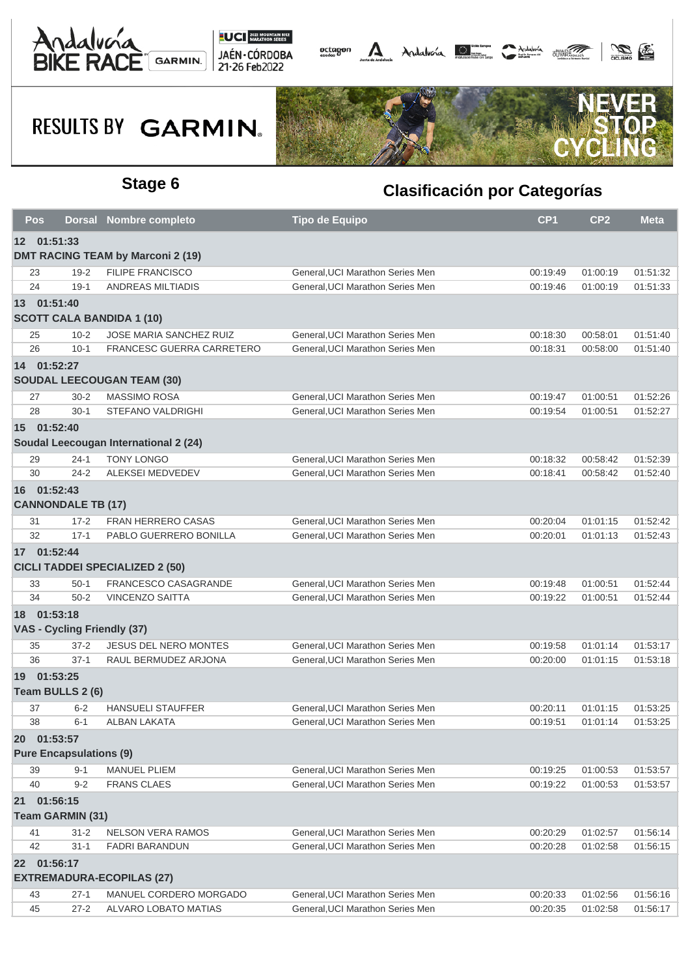





| Pos         |                                | <b>Dorsal Nombre completo</b>            | Tipo de Equipo                   | CP <sub>1</sub> | CP <sub>2</sub> | <b>Meta</b> |
|-------------|--------------------------------|------------------------------------------|----------------------------------|-----------------|-----------------|-------------|
| 12 01:51:33 |                                |                                          |                                  |                 |                 |             |
|             |                                | <b>DMT RACING TEAM by Marconi 2 (19)</b> |                                  |                 |                 |             |
| 23          | $19 - 2$                       | <b>FILIPE FRANCISCO</b>                  | General, UCI Marathon Series Men | 00:19:49        | 01:00:19        | 01:51:32    |
| 24          | $19-1$                         | <b>ANDREAS MILTIADIS</b>                 | General, UCI Marathon Series Men | 00:19:46        | 01:00:19        | 01:51:33    |
| 13 01:51:40 |                                |                                          |                                  |                 |                 |             |
|             |                                | <b>SCOTT CALA BANDIDA 1 (10)</b>         |                                  |                 |                 |             |
| 25          | $10 - 2$                       | JOSE MARIA SANCHEZ RUIZ                  | General, UCI Marathon Series Men | 00:18:30        | 00:58:01        | 01:51:40    |
| 26          | $10 - 1$                       | FRANCESC GUERRA CARRETERO                | General, UCI Marathon Series Men | 00:18:31        | 00:58:00        | 01:51:40    |
| 14 01:52:27 |                                |                                          |                                  |                 |                 |             |
|             |                                | <b>SOUDAL LEECOUGAN TEAM (30)</b>        |                                  |                 |                 |             |
| 27          | $30 - 2$                       | <b>MASSIMO ROSA</b>                      | General, UCI Marathon Series Men | 00:19:47        | 01:00:51        | 01:52:26    |
| 28          | $30-1$                         | <b>STEFANO VALDRIGHI</b>                 | General, UCI Marathon Series Men | 00:19:54        | 01:00:51        | 01:52:27    |
| 15 01:52:40 |                                |                                          |                                  |                 |                 |             |
|             |                                | Soudal Leecougan International 2 (24)    |                                  |                 |                 |             |
| 29          | $24 - 1$                       | <b>TONY LONGO</b>                        | General, UCI Marathon Series Men | 00:18:32        | 00:58:42        | 01:52:39    |
| 30          | $24 - 2$                       | ALEKSEI MEDVEDEV                         | General, UCI Marathon Series Men | 00:18:41        | 00:58:42        | 01:52:40    |
| 16 01:52:43 |                                |                                          |                                  |                 |                 |             |
|             | <b>CANNONDALE TB (17)</b>      |                                          |                                  |                 |                 |             |
| 31          | $17 - 2$                       | <b>FRAN HERRERO CASAS</b>                | General, UCI Marathon Series Men | 00:20:04        | 01:01:15        | 01:52:42    |
| 32          | $17 - 1$                       | PABLO GUERRERO BONILLA                   | General, UCI Marathon Series Men | 00:20:01        | 01:01:13        | 01:52:43    |
| 17 01:52:44 |                                |                                          |                                  |                 |                 |             |
|             |                                | <b>CICLI TADDEI SPECIALIZED 2 (50)</b>   |                                  |                 |                 |             |
| 33          | $50-1$                         | <b>FRANCESCO CASAGRANDE</b>              | General, UCI Marathon Series Men | 00:19:48        | 01:00:51        | 01:52:44    |
| 34          | $50 - 2$                       | <b>VINCENZO SAITTA</b>                   | General, UCI Marathon Series Men | 00:19:22        | 01:00:51        | 01:52:44    |
| 18 01:53:18 |                                |                                          |                                  |                 |                 |             |
|             | VAS - Cycling Friendly (37)    |                                          |                                  |                 |                 |             |
| 35          | $37 - 2$                       | <b>JESUS DEL NERO MONTES</b>             | General, UCI Marathon Series Men | 00:19:58        | 01:01:14        | 01:53:17    |
| 36          | $37-1$                         | RAUL BERMUDEZ ARJONA                     | General, UCI Marathon Series Men | 00:20:00        | 01:01:15        | 01:53:18    |
| 19 01:53:25 |                                |                                          |                                  |                 |                 |             |
|             | Team BULLS 2 (6)               |                                          |                                  |                 |                 |             |
| 37          | $6 - 2$                        | <b>HANSUELI STAUFFER</b>                 | General, UCI Marathon Series Men | 00:20:11        | 01:01:15        | 01:53:25    |
| 38          | $6 - 1$                        | <b>ALBAN LAKATA</b>                      | General, UCI Marathon Series Men | 00:19:51        | 01:01:14        | 01:53:25    |
| 20 01:53:57 |                                |                                          |                                  |                 |                 |             |
|             | <b>Pure Encapsulations (9)</b> |                                          |                                  |                 |                 |             |
| 39          | $9 - 1$                        | <b>MANUEL PLIEM</b>                      | General, UCI Marathon Series Men | 00:19:25        | 01:00:53        | 01:53:57    |
| 40          | $9 - 2$                        | <b>FRANS CLAES</b>                       | General, UCI Marathon Series Men | 00:19:22        | 01:00:53        | 01:53:57    |
| 21 01:56:15 |                                |                                          |                                  |                 |                 |             |
|             | <b>Team GARMIN (31)</b>        |                                          |                                  |                 |                 |             |
| 41          | $31 - 2$                       | NELSON VERA RAMOS                        | General, UCI Marathon Series Men | 00:20:29        | 01:02:57        | 01:56:14    |
| 42          | $31 - 1$                       | <b>FADRI BARANDUN</b>                    | General, UCI Marathon Series Men | 00:20:28        | 01:02:58        | 01:56:15    |
| 22 01:56:17 |                                |                                          |                                  |                 |                 |             |
|             |                                | <b>EXTREMADURA-ECOPILAS (27)</b>         |                                  |                 |                 |             |
| 43          | $27-1$                         | MANUEL CORDERO MORGADO                   | General, UCI Marathon Series Men | 00:20:33        | 01:02:56        | 01:56:16    |
| 45          | $27 - 2$                       | ALVARO LOBATO MATIAS                     | General, UCI Marathon Series Men | 00:20:35        | 01:02:58        | 01:56:17    |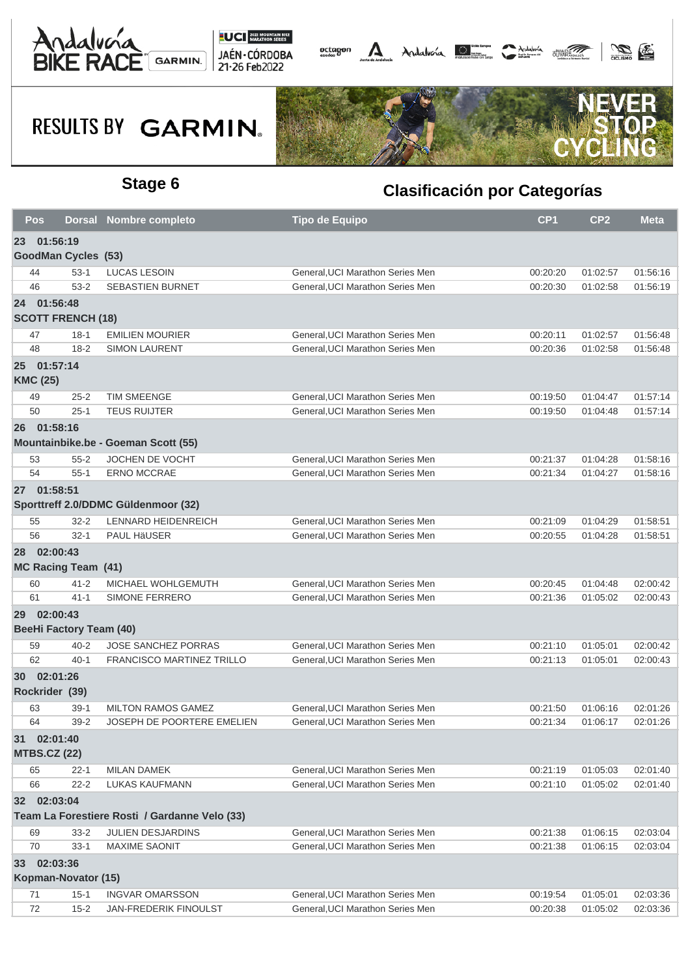





|    | <b>Pos</b>          |                                | Dorsal Nombre completo                          | <b>Tipo de Equipo</b>                                                | CP <sub>1</sub>      | CP <sub>2</sub>      | <b>Meta</b>          |
|----|---------------------|--------------------------------|-------------------------------------------------|----------------------------------------------------------------------|----------------------|----------------------|----------------------|
| 23 | 01:56:19            |                                |                                                 |                                                                      |                      |                      |                      |
|    |                     | <b>GoodMan Cycles (53)</b>     |                                                 |                                                                      |                      |                      |                      |
|    | 44                  | $53-1$                         | <b>LUCAS LESOIN</b>                             | General, UCI Marathon Series Men                                     | 00:20:20             | 01:02:57             | 01:56:16             |
|    | 46                  | $53 - 2$                       | <b>SEBASTIEN BURNET</b>                         | General, UCI Marathon Series Men                                     | 00:20:30             | 01:02:58             | 01:56:19             |
|    | 24 01:56:48         |                                |                                                 |                                                                      |                      |                      |                      |
|    |                     | <b>SCOTT FRENCH (18)</b>       |                                                 |                                                                      |                      |                      |                      |
|    | 47                  | $18-1$                         | <b>EMILIEN MOURIER</b>                          | General, UCI Marathon Series Men                                     | 00:20:11             | 01:02:57             | 01:56:48             |
|    | 48                  | $18 - 2$                       | <b>SIMON LAURENT</b>                            | General, UCI Marathon Series Men                                     | 00:20:36             | 01:02:58             | 01:56:48             |
|    | 25 01:57:14         |                                |                                                 |                                                                      |                      |                      |                      |
|    | <b>KMC (25)</b>     |                                |                                                 |                                                                      |                      |                      |                      |
|    | 49                  | $25 - 2$                       | <b>TIM SMEENGE</b>                              | General, UCI Marathon Series Men                                     | 00:19:50             | 01:04:47             | 01:57:14             |
|    | 50                  | $25 - 1$                       | <b>TEUS RUIJTER</b>                             | General, UCI Marathon Series Men                                     | 00:19:50             | 01:04:48             | 01:57:14             |
|    | 26 01:58:16         |                                |                                                 |                                                                      |                      |                      |                      |
|    |                     |                                | Mountainbike.be - Goeman Scott (55)             |                                                                      |                      |                      |                      |
|    | 53                  | $55 - 2$                       | <b>JOCHEN DE VOCHT</b>                          | General, UCI Marathon Series Men                                     | 00:21:37             | 01:04:28             | 01:58:16             |
|    | 54                  | $55 - 1$                       | <b>ERNO MCCRAE</b>                              | General, UCI Marathon Series Men                                     | 00:21:34             | 01:04:27             | 01:58:16             |
|    | 27 01:58:51         |                                |                                                 |                                                                      |                      |                      |                      |
|    |                     |                                | Sporttreff 2.0/DDMC Güldenmoor (32)             |                                                                      |                      |                      |                      |
|    | 55                  | $32 - 2$                       | LENNARD HEIDENREICH                             | General, UCI Marathon Series Men                                     | 00:21:09             | 01:04:29             | 01:58:51             |
|    | 56                  | $32 - 1$                       | PAUL HäUSER                                     | General, UCI Marathon Series Men                                     | 00:20:55             | 01:04:28             | 01:58:51             |
|    | 28 02:00:43         |                                |                                                 |                                                                      |                      |                      |                      |
|    |                     | <b>MC Racing Team (41)</b>     |                                                 |                                                                      |                      |                      |                      |
|    | 60                  | $41 - 2$                       | MICHAEL WOHLGEMUTH                              | General, UCI Marathon Series Men                                     | 00:20:45             | 01:04:48             | 02:00:42             |
|    | 61                  | $41 - 1$                       | SIMONE FERRERO                                  | General, UCI Marathon Series Men                                     | 00:21:36             | 01:05:02             | 02:00:43             |
| 29 | 02:00:43            |                                |                                                 |                                                                      |                      |                      |                      |
|    |                     | <b>BeeHi Factory Team (40)</b> |                                                 |                                                                      |                      |                      |                      |
|    | 59                  | $40 - 2$                       | <b>JOSE SANCHEZ PORRAS</b>                      | General, UCI Marathon Series Men                                     | 00:21:10             | 01:05:01             | 02:00:42             |
|    | 62                  | $40 - 1$                       | <b>FRANCISCO MARTINEZ TRILLO</b>                | General.UCI Marathon Series Men                                      | 00:21:13             | 01:05:01             | 02:00:43             |
|    |                     |                                |                                                 |                                                                      |                      |                      |                      |
|    | 30 02:01:26         |                                |                                                 |                                                                      |                      |                      |                      |
|    | Rockrider (39)      |                                |                                                 |                                                                      |                      |                      |                      |
|    | 63                  | $39-1$                         | <b>MILTON RAMOS GAMEZ</b>                       | General, UCI Marathon Series Men                                     | 00:21:50             | 01:06:16             | 02:01:26             |
|    | 64                  | $39 - 2$                       | JOSEPH DE POORTERE EMELIEN                      | General, UCI Marathon Series Men                                     | 00:21:34             | 01:06:17             | 02:01:26             |
|    | 31 02:01:40         |                                |                                                 |                                                                      |                      |                      |                      |
|    | <b>MTBS.CZ (22)</b> |                                |                                                 |                                                                      |                      |                      |                      |
|    | 65                  | $22 - 1$                       | <b>MILAN DAMEK</b>                              | General, UCI Marathon Series Men                                     | 00:21:19             | 01:05:03             | 02:01:40             |
|    | 66                  | $22 - 2$                       | <b>LUKAS KAUFMANN</b>                           | General, UCI Marathon Series Men                                     | 00:21:10             | 01:05:02             | 02:01:40             |
|    | 32 02:03:04         |                                |                                                 |                                                                      |                      |                      |                      |
|    |                     |                                | Team La Forestiere Rosti / Gardanne Velo (33)   |                                                                      |                      |                      |                      |
|    | 69                  | $33 - 2$                       | <b>JULIEN DESJARDINS</b>                        | General, UCI Marathon Series Men                                     | 00:21:38             | 01:06:15             | 02:03:04             |
|    | 70                  | $33 - 1$                       | <b>MAXIME SAONIT</b>                            | General, UCI Marathon Series Men                                     | 00:21:38             | 01:06:15             | 02:03:04             |
| 33 | 02:03:36            |                                |                                                 |                                                                      |                      |                      |                      |
|    |                     | Kopman-Novator (15)            |                                                 |                                                                      |                      |                      |                      |
|    |                     |                                |                                                 |                                                                      |                      |                      |                      |
|    | 71<br>72            | $15-1$<br>$15 - 2$             | <b>INGVAR OMARSSON</b><br>JAN-FREDERIK FINOULST | General, UCI Marathon Series Men<br>General, UCI Marathon Series Men | 00:19:54<br>00:20:38 | 01:05:01<br>01:05:02 | 02:03:36<br>02:03:36 |
|    |                     |                                |                                                 |                                                                      |                      |                      |                      |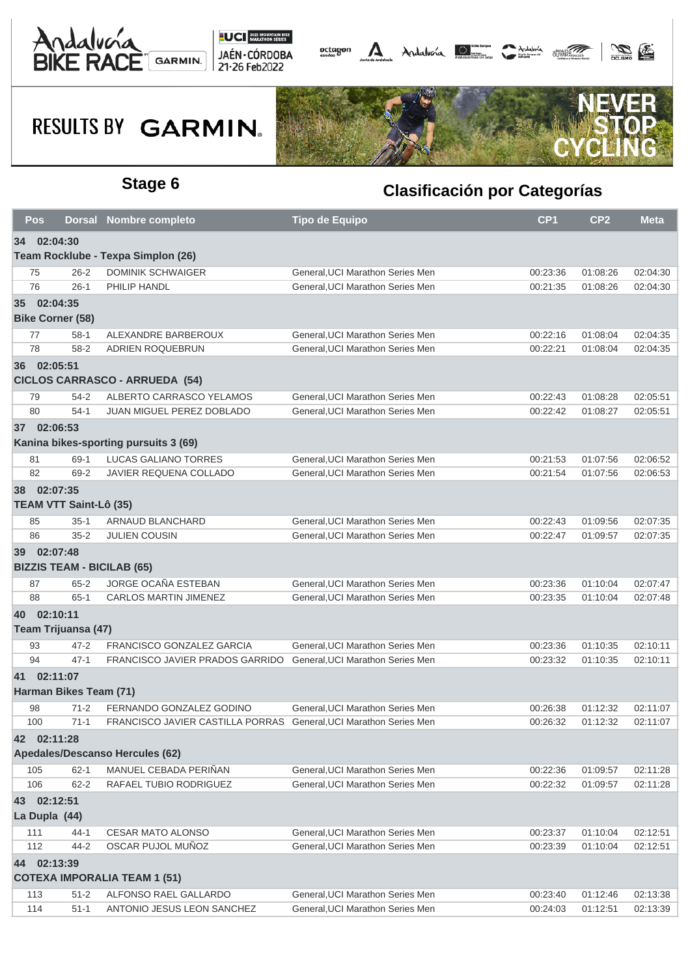





| Pos                     |                               | Dorsal Nombre completo                                            | <b>Tipo de Equipo</b>            | CP <sub>1</sub> | CP <sub>2</sub> | <b>Meta</b> |
|-------------------------|-------------------------------|-------------------------------------------------------------------|----------------------------------|-----------------|-----------------|-------------|
| 34 02:04:30             |                               |                                                                   |                                  |                 |                 |             |
|                         |                               | Team Rocklube - Texpa Simplon (26)                                |                                  |                 |                 |             |
| 75                      | $26 - 2$                      | <b>DOMINIK SCHWAIGER</b>                                          | General, UCI Marathon Series Men | 00:23:36        | 01:08:26        | 02:04:30    |
| 76                      | $26-1$                        | PHILIP HANDL                                                      | General, UCI Marathon Series Men | 00:21:35        | 01:08:26        | 02:04:30    |
| 35 02:04:35             |                               |                                                                   |                                  |                 |                 |             |
| <b>Bike Corner (58)</b> |                               |                                                                   |                                  |                 |                 |             |
| 77                      | $58-1$                        | ALEXANDRE BARBEROUX                                               | General, UCI Marathon Series Men | 00:22:16        | 01:08:04        | 02:04:35    |
| 78                      | $58 - 2$                      | ADRIEN ROQUEBRUN                                                  | General, UCI Marathon Series Men | 00:22:21        | 01:08:04        | 02:04:35    |
| 36 02:05:51             |                               |                                                                   |                                  |                 |                 |             |
|                         |                               | <b>CICLOS CARRASCO - ARRUEDA (54)</b>                             |                                  |                 |                 |             |
| 79                      | $54 - 2$                      | ALBERTO CARRASCO YELAMOS                                          | General, UCI Marathon Series Men | 00:22:43        | 01:08:28        | 02:05:51    |
| 80                      | $54-1$                        | JUAN MIGUEL PEREZ DOBLADO                                         | General, UCI Marathon Series Men | 00:22:42        | 01:08:27        | 02:05:51    |
| 37 02:06:53             |                               |                                                                   |                                  |                 |                 |             |
|                         |                               | Kanina bikes-sporting pursuits 3 (69)                             |                                  |                 |                 |             |
| 81                      | 69-1                          | <b>LUCAS GALIANO TORRES</b>                                       | General, UCI Marathon Series Men | 00:21:53        | 01:07:56        | 02:06:52    |
| 82                      | 69-2                          | JAVIER REQUENA COLLADO                                            | General.UCI Marathon Series Men  | 00:21:54        | 01:07:56        | 02:06:53    |
| 38 02:07:35             |                               |                                                                   |                                  |                 |                 |             |
|                         | <b>TEAM VTT Saint-Lô (35)</b> |                                                                   |                                  |                 |                 |             |
| 85                      | $35-1$                        | ARNAUD BLANCHARD                                                  | General, UCI Marathon Series Men | 00:22:43        | 01:09:56        | 02:07:35    |
| 86                      | $35 - 2$                      | <b>JULIEN COUSIN</b>                                              | General.UCI Marathon Series Men  | 00:22:47        | 01:09:57        | 02:07:35    |
| 39 02:07:48             |                               |                                                                   |                                  |                 |                 |             |
|                         |                               | <b>BIZZIS TEAM - BICILAB (65)</b>                                 |                                  |                 |                 |             |
| 87                      | $65 - 2$                      | JORGE OCAÑA ESTEBAN                                               | General, UCI Marathon Series Men | 00:23:36        | 01:10:04        | 02:07:47    |
| 88                      | $65 - 1$                      | CARLOS MARTIN JIMENEZ                                             | General, UCI Marathon Series Men | 00:23:35        | 01:10:04        | 02:07:48    |
| 40 02:10:11             |                               |                                                                   |                                  |                 |                 |             |
|                         | Team Trijuansa (47)           |                                                                   |                                  |                 |                 |             |
| 93                      | $47 - 2$                      | FRANCISCO GONZALEZ GARCIA                                         | General, UCI Marathon Series Men | 00:23:36        | 01:10:35        | 02:10:11    |
| 94                      | $47 - 1$                      | FRANCISCO JAVIER PRADOS GARRIDO General, UCI Marathon Series Men  |                                  | 00:23:32        | 01:10:35        | 02:10:11    |
| 41 02:11:07             |                               |                                                                   |                                  |                 |                 |             |
|                         | Harman Bikes Team (71)        |                                                                   |                                  |                 |                 |             |
| 98                      | $71 - 2$                      | FERNANDO GONZALEZ GODINO                                          | General, UCI Marathon Series Men | 00:26:38        | 01:12:32        | 02:11:07    |
| 100                     | $71 - 1$                      | FRANCISCO JAVIER CASTILLA PORRAS General, UCI Marathon Series Men |                                  | 00:26:32        | 01:12:32        | 02:11:07    |
|                         |                               |                                                                   |                                  |                 |                 |             |
| 42 02:11:28             |                               | Apedales/Descanso Hercules (62)                                   |                                  |                 |                 |             |
|                         |                               |                                                                   |                                  |                 |                 |             |
| 105                     | $62 - 1$                      | MANUEL CEBADA PERIÑAN                                             | General, UCI Marathon Series Men | 00:22:36        | 01:09:57        | 02:11:28    |
| 106                     | $62 - 2$                      | RAFAEL TUBIO RODRIGUEZ                                            | General, UCI Marathon Series Men | 00:22:32        | 01:09:57        | 02:11:28    |
| 43 02:12:51             |                               |                                                                   |                                  |                 |                 |             |
| La Dupla (44)           |                               |                                                                   |                                  |                 |                 |             |
| 111                     | $44 - 1$                      | CESAR MATO ALONSO                                                 | General, UCI Marathon Series Men | 00:23:37        | 01:10:04        | 02:12:51    |
| 112                     | 44-2                          | OSCAR PUJOL MUÑOZ                                                 | General, UCI Marathon Series Men | 00:23:39        | 01:10:04        | 02:12:51    |
| 44 02:13:39             |                               |                                                                   |                                  |                 |                 |             |
|                         |                               | <b>COTEXA IMPORALIA TEAM 1 (51)</b>                               |                                  |                 |                 |             |
| 113                     | $51 - 2$                      | ALFONSO RAEL GALLARDO                                             | General, UCI Marathon Series Men | 00:23:40        | 01:12:46        | 02:13:38    |
| 114                     | $51 - 1$                      | ANTONIO JESUS LEON SANCHEZ                                        | General, UCI Marathon Series Men | 00:24:03        | 01:12:51        | 02:13:39    |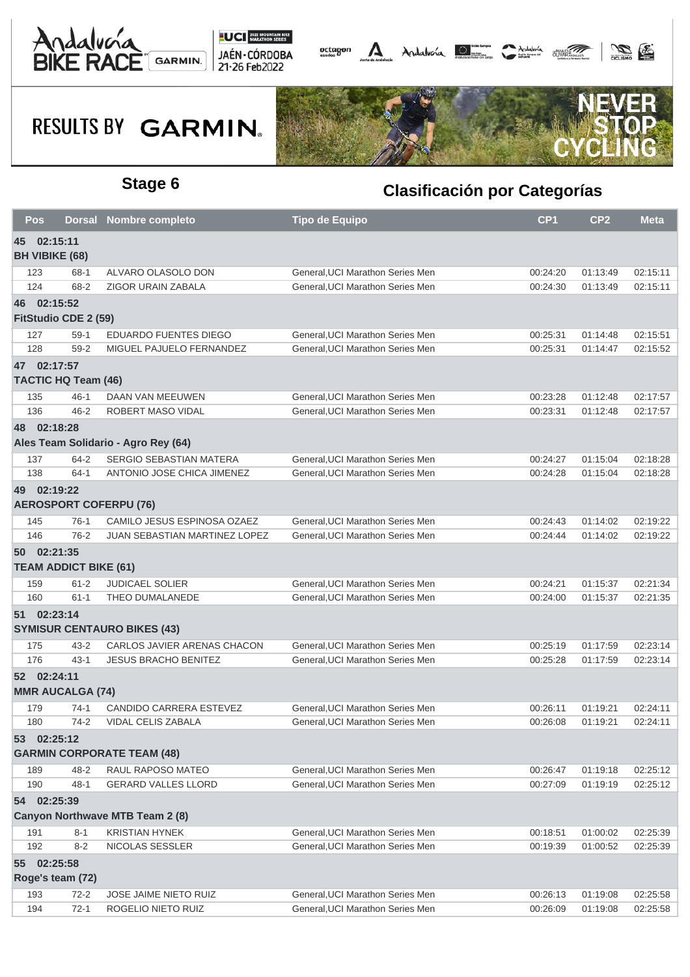





| Pos                                         |          | <b>Dorsal Nombre completo</b>       | <b>Tipo de Equipo</b>            | CP <sub>1</sub> | CP <sub>2</sub> | <b>Meta</b> |
|---------------------------------------------|----------|-------------------------------------|----------------------------------|-----------------|-----------------|-------------|
| 45 02:15:11<br><b>BH VIBIKE (68)</b>        |          |                                     |                                  |                 |                 |             |
| 123                                         | $68 - 1$ | ALVARO OLASOLO DON                  | General, UCI Marathon Series Men | 00:24:20        | 01:13:49        | 02:15:11    |
| 124                                         | 68-2     | ZIGOR URAIN ZABALA                  | General, UCI Marathon Series Men | 00:24:30        | 01:13:49        | 02:15:11    |
| 46 02:15:52<br>FitStudio CDE 2 (59)         |          |                                     |                                  |                 |                 |             |
| 127                                         | $59-1$   | EDUARDO FUENTES DIEGO               | General, UCI Marathon Series Men | 00:25:31        | 01:14:48        | 02:15:51    |
| 128                                         | $59 - 2$ | MIGUEL PAJUELO FERNANDEZ            | General, UCI Marathon Series Men | 00:25:31        | 01:14:47        | 02:15:52    |
| 47 02:17:57                                 |          |                                     |                                  |                 |                 |             |
| <b>TACTIC HQ Team (46)</b>                  |          |                                     |                                  |                 |                 |             |
| 135                                         | $46 - 1$ | DAAN VAN MEEUWEN                    | General, UCI Marathon Series Men | 00:23:28        | 01:12:48        | 02:17:57    |
| 136                                         | $46 - 2$ | ROBERT MASO VIDAL                   | General, UCI Marathon Series Men | 00:23:31        | 01:12:48        | 02:17:57    |
| 48 02:18:28                                 |          | Ales Team Solidario - Agro Rey (64) |                                  |                 |                 |             |
| 137                                         | 64-2     | <b>SERGIO SEBASTIAN MATERA</b>      | General, UCI Marathon Series Men | 00:24:27        | 01:15:04        | 02:18:28    |
| 138                                         | $64-1$   | ANTONIO JOSE CHICA JIMENEZ          | General, UCI Marathon Series Men | 00:24:28        | 01:15:04        | 02:18:28    |
| 49 02:19:22                                 |          |                                     |                                  |                 |                 |             |
|                                             |          | <b>AEROSPORT COFERPU (76)</b>       |                                  |                 |                 |             |
| 145                                         | $76-1$   | CAMILO JESUS ESPINOSA OZAEZ         | General, UCI Marathon Series Men | 00:24:43        | 01:14:02        | 02:19:22    |
| 146                                         | $76 - 2$ | JUAN SEBASTIAN MARTINEZ LOPEZ       | General, UCI Marathon Series Men | 00:24:44        | 01:14:02        | 02:19:22    |
| 50 02:21:35<br><b>TEAM ADDICT BIKE (61)</b> |          |                                     |                                  |                 |                 |             |
| 159                                         | $61 - 2$ | <b>JUDICAEL SOLIER</b>              | General, UCI Marathon Series Men | 00:24:21        | 01:15:37        | 02:21:34    |
| 160                                         | $61 - 1$ | THEO DUMALANEDE                     | General, UCI Marathon Series Men | 00:24:00        | 01:15:37        | 02:21:35    |
| 51 02:23:14                                 |          |                                     |                                  |                 |                 |             |
|                                             |          | <b>SYMISUR CENTAURO BIKES (43)</b>  |                                  |                 |                 |             |
| 175                                         | $43 - 2$ | CARLOS JAVIER ARENAS CHACON         | General, UCI Marathon Series Men | 00:25:19        | 01:17:59        | 02:23:14    |
| 176                                         | $43 - 1$ | <b>JESUS BRACHO BENITEZ</b>         | General, UCI Marathon Series Men | 00:25:28        | 01:17:59        | 02:23:14    |
| 52 02:24:11<br><b>MMR AUCALGA (74)</b>      |          |                                     |                                  |                 |                 |             |
| 179                                         | 74-1     | CANDIDO CARRERA ESTEVEZ             | General, UCI Marathon Series Men | 00:26:11        | 01:19:21        | 02:24:11    |
| 180                                         | 74-2     | VIDAL CELIS ZABALA                  | General.UCI Marathon Series Men  | 00:26:08        | 01:19:21        | 02:24:11    |
| 53 02:25:12                                 |          | <b>GARMIN CORPORATE TEAM (48)</b>   |                                  |                 |                 |             |
| 189                                         | $48 - 2$ | RAUL RAPOSO MATEO                   | General, UCI Marathon Series Men | 00:26:47        | 01:19:18        | 02:25:12    |
| 190                                         | $48 - 1$ | <b>GERARD VALLES LLORD</b>          | General, UCI Marathon Series Men | 00:27:09        | 01:19:19        | 02:25:12    |
| 54 02:25:39                                 |          |                                     |                                  |                 |                 |             |
|                                             |          | Canyon Northwave MTB Team 2 (8)     |                                  |                 |                 |             |
| 191                                         | $8 - 1$  | <b>KRISTIAN HYNEK</b>               | General, UCI Marathon Series Men | 00:18:51        | 01:00:02        | 02:25:39    |
| 192                                         | $8 - 2$  | NICOLAS SESSLER                     | General, UCI Marathon Series Men | 00:19:39        | 01:00:52        | 02:25:39    |
| 55 02:25:58<br>Roge's team (72)             |          |                                     |                                  |                 |                 |             |
| 193                                         | $72 - 2$ | <b>JOSE JAIME NIETO RUIZ</b>        | General, UCI Marathon Series Men | 00:26:13        | 01:19:08        | 02:25:58    |
| 194                                         | $72-1$   | ROGELIO NIETO RUIZ                  | General, UCI Marathon Series Men | 00:26:09        | 01:19:08        | 02:25:58    |